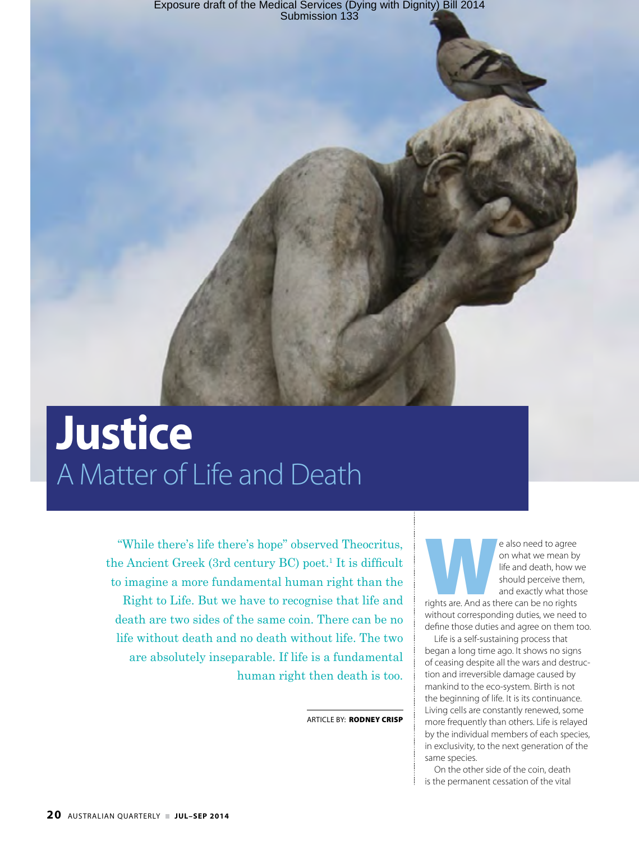

## **Justice** A Matter of Life and Death

"While there's life there's hope" observed Theocritus, the Ancient Greek (3rd century BC) poet.<sup>1</sup> It is difficult to imagine a more fundamental human right than the Right to Life. But we have to recognise that life and death are two sides of the same coin. There can be no life without death and no death without life. The two are absolutely inseparable. If life is a fundamental human right then death is too.

ARTICLE BY: Rodney Crisp

e also need to agree<br>
on what we mean by<br>
life and death, how v<br>
should perceive ther<br>
and exactly what the<br>
rights are. And as there can be no rights on what we mean by life and death, how we should perceive them, and exactly what those

without corresponding duties, we need to define those duties and agree on them too.

Life is a self-sustaining process that began a long time ago. It shows no signs of ceasing despite all the wars and destruction and irreversible damage caused by mankind to the eco-system. Birth is not the beginning of life. It is its continuance. Living cells are constantly renewed, some more frequently than others. Life is relayed by the individual members of each species, in exclusivity, to the next generation of the same species.

On the other side of the coin, death is the permanent cessation of the vital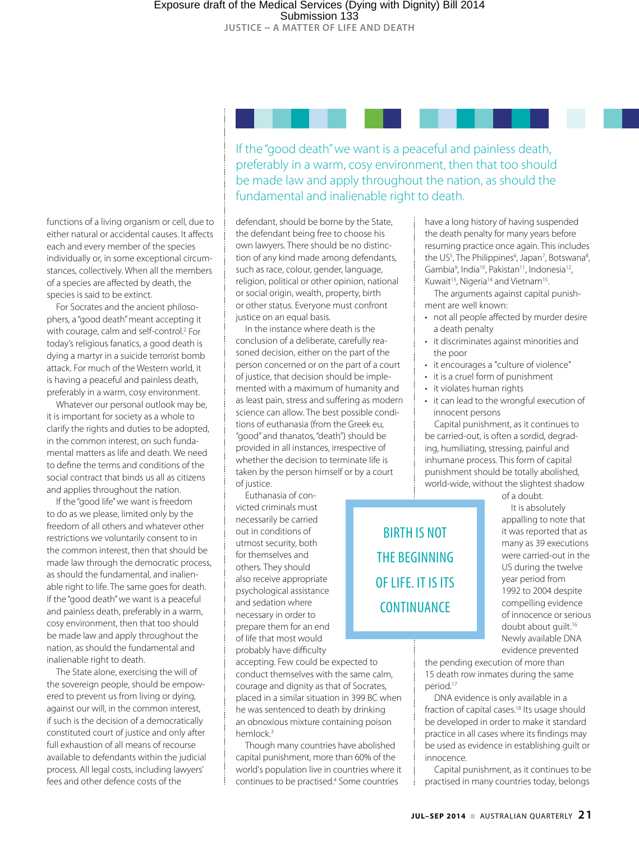functions of a living organism or cell, due to either natural or accidental causes. It affects each and every member of the species individually or, in some exceptional circumstances, collectively. When all the members of a species are affected by death, the species is said to be extinct.

For Socrates and the ancient philosophers, a "good death" meant accepting it with courage, calm and self-control.2 For today's religious fanatics, a good death is dying a martyr in a suicide terrorist bomb attack. For much of the Western world, it is having a peaceful and painless death, preferably in a warm, cosy environment.

Whatever our personal outlook may be, it is important for society as a whole to clarify the rights and duties to be adopted, in the common interest, on such fundamental matters as life and death. We need to define the terms and conditions of the social contract that binds us all as citizens and applies throughout the nation.

If the "good life" we want is freedom to do as we please, limited only by the freedom of all others and whatever other restrictions we voluntarily consent to in the common interest, then that should be made law through the democratic process, as should the fundamental, and inalienable right to life. The same goes for death. If the "good death" we want is a peaceful and painless death, preferably in a warm, cosy environment, then that too should be made law and apply throughout the nation, as should the fundamental and inalienable right to death.

The State alone, exercising the will of the sovereign people, should be empowered to prevent us from living or dying, against our will, in the common interest, if such is the decision of a democratically constituted court of justice and only after full exhaustion of all means of recourse available to defendants within the judicial process. All legal costs, including lawyers' fees and other defence costs of the

If the "good death" we want is a peaceful and painless death, preferably in a warm, cosy environment, then that too should be made law and apply throughout the nation, as should the fundamental and inalienable right to death.

defendant, should be borne by the State, the defendant being free to choose his own lawyers. There should be no distinction of any kind made among defendants, such as race, colour, gender, language, religion, political or other opinion, national or social origin, wealth, property, birth or other status. Everyone must confront justice on an equal basis.

In the instance where death is the conclusion of a deliberate, carefully reasoned decision, either on the part of the person concerned or on the part of a court of justice, that decision should be implemented with a maximum of humanity and as least pain, stress and suffering as modern science can allow. The best possible conditions of euthanasia (from the Greek eu, "good" and thanatos, "death") should be provided in all instances, irrespective of whether the decision to terminate life is taken by the person himself or by a court of justice.

Euthanasia of convicted criminals must necessarily be carried out in conditions of utmost security, both for themselves and others. They should also receive appropriate psychological assistance and sedation where necessary in order to prepare them for an end of life that most would probably have difficulty

accepting. Few could be expected to conduct themselves with the same calm, courage and dignity as that of Socrates, placed in a similar situation in 399 BC when he was sentenced to death by drinking an obnoxious mixture containing poison hemlock.3

Though many countries have abolished capital punishment, more than 60% of the world's population live in countries where it continues to be practised.<sup>4</sup> Some countries

have a long history of having suspended the death penalty for many years before resuming practice once again. This includes the US<sup>5</sup>, The Philippines<sup>6</sup>, Japan<sup>7</sup>, Botswana<sup>8</sup>, Gambia<sup>9</sup>, India<sup>10</sup>, Pakistan<sup>11</sup>, Indonesia<sup>12</sup>, Kuwait<sup>13</sup>, Nigeria<sup>14</sup> and Vietnam<sup>15</sup>.

The arguments against capital punishment are well known:

- not all people affected by murder desire a death penalty
- • it discriminates against minorities and the poor
- it encourages a "culture of violence"
- • it is a cruel form of punishment
- • it violates human rights
- it can lead to the wrongful execution of innocent persons

Capital punishment, as it continues to be carried-out, is often a sordid, degrading, humiliating, stressing, painful and inhumane process. This form of capital punishment should be totally abolished, world-wide, without the slightest shadow

of a doubt.

It is absolutely appalling to note that it was reported that as many as 39 executions were carried-out in the US during the twelve year period from 1992 to 2004 despite compelling evidence of innocence or serious doubt about quilt.<sup>16</sup> Newly available DNA evidence prevented

the pending execution of more than 15 death row inmates during the same period.<sup>17</sup>

DNA evidence is only available in a fraction of capital cases.<sup>18</sup> Its usage should be developed in order to make it standard practice in all cases where its findings may be used as evidence in establishing guilt or innocence.

Capital punishment, as it continues to be practised in many countries today, belongs

## Birth is not the beginning of life. It isits **CONTINUANCE**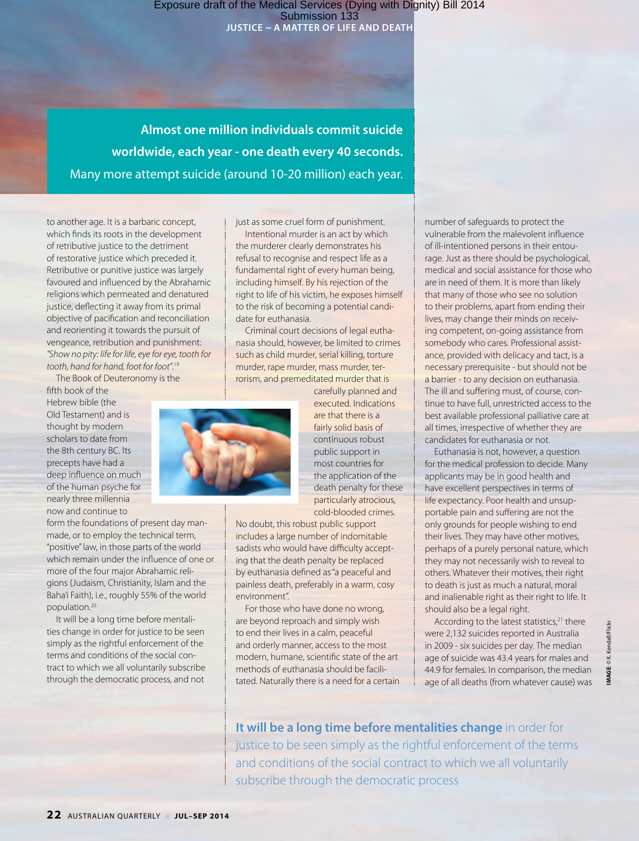**Justice ~ A Matter of Life and Death** Exposure draft of the Medical Services (Dying with Dignity) Bill 2014 Submission 133

**Almost one million individuals commit suicide worldwide, each year - one death every 40 seconds.**  Many more attempt suicide (around 10-20 million) each year.

to another age. It is a barbaric concept. which finds its roots in the development of retributive justice to the detriment of restorative justice which preceded it. Retributive or punitive justice was largely favoured and influenced by the Abrahamic religions which permeated and denatured justice, deflecting it away from its primal objective of pacification and reconciliation and reorienting it towards the pursuit of vengeance, retribution and punishment: *"Show no pity: life for life, eye for eye, tooth for tooth, hand for hand, foot for foot"*. 19

The Book of Deuteronomy is the fifth book of the

Hebrew bible (the Old Testament) and is thought by modern scholars to date from the 8th century BC. Its precepts have had a deep influence on much of the human psyche for nearly three millennia now and continue to

form the foundations of present day manmade, or to employ the technical term, "positive" law, in those parts of the world which remain under the influence of one or more of the four major Abrahamic religions (Judaism, Christianity, Islam and the Baha'i Faith), i.e., roughly 55% of the world population.20

It will be a long time before mentalities change in order for justice to be seen simply as the rightful enforcement of the terms and conditions of the social contract to which we all voluntarily subscribe through the democratic process, and not

just as some cruel form of punishment.

Intentional murder is an act by which the murderer clearly demonstrates his refusal to recognise and respect life as a fundamental right of every human being, including himself. By his rejection of the right to life of his victim, he exposes himself to the risk of becoming a potential candidate for euthanasia.

Criminal court decisions of legal euthanasia should, however, be limited to crimes such as child murder, serial killing, torture murder, rape murder, mass murder, terrorism, and premeditated murder that is

> carefully planned and executed. Indications are that there is a fairly solid basis of continuous robust public support in most countries for the application of the death penalty for these particularly atrocious, cold-blooded crimes.

No doubt, this robust public support includes a large number of indomitable sadists who would have difficulty accepting that the death penalty be replaced by euthanasia defined as "a peaceful and painless death, preferably in a warm, cosy environment".

For those who have done no wrong, are beyond reproach and simply wish to end their lives in a calm, peaceful and orderly manner, access to the most modern, humane, scientific state of the art methods of euthanasia should be facilitated. Naturally there is a need for a certain number of safeguards to protect the vulnerable from the malevolent influence of ill-intentioned persons in their entourage. Just as there should be psychological, medical and social assistance for those who are in need of them. It is more than likely that many of those who see no solution to their problems, apart from ending their lives, may change their minds on receiving competent, on-going assistance from somebody who cares. Professional assistance, provided with delicacy and tact, is a necessary prerequisite - but should not be a barrier - to any decision on euthanasia. The ill and suffering must, of course, continue to have full, unrestricted access to the best available professional palliative care at all times, irrespective of whether they are candidates for euthanasia or not.

Euthanasia is not, however, a question for the medical profession to decide. Many applicants may be in good health and have excellent perspectives in terms of life expectancy. Poor health and unsupportable pain and suffering are not the only grounds for people wishing to end their lives. They may have other motives, perhaps of a purely personal nature, which they may not necessarily wish to reveal to others. Whatever their motives, their right to death is just as much a natural, moral and inalienable right as their right to life. It should also be a legal right.

According to the latest statistics, $21$  there were 2,132 suicides reported in Australia in 2009 - six suicides per day. The median age of suicide was 43.4 years for males and 44.9 for females. In comparison, the median age of all deaths (from whatever cause) was

**image**: © K. Kendall/Flickr

IMAGE:

Kendall/Flickr

**It will be a long time before mentalities change** in order for justice to be seen simply as the rightful enforcement of the terms and conditions of the social contract to which we all voluntarily subscribe through the democratic process